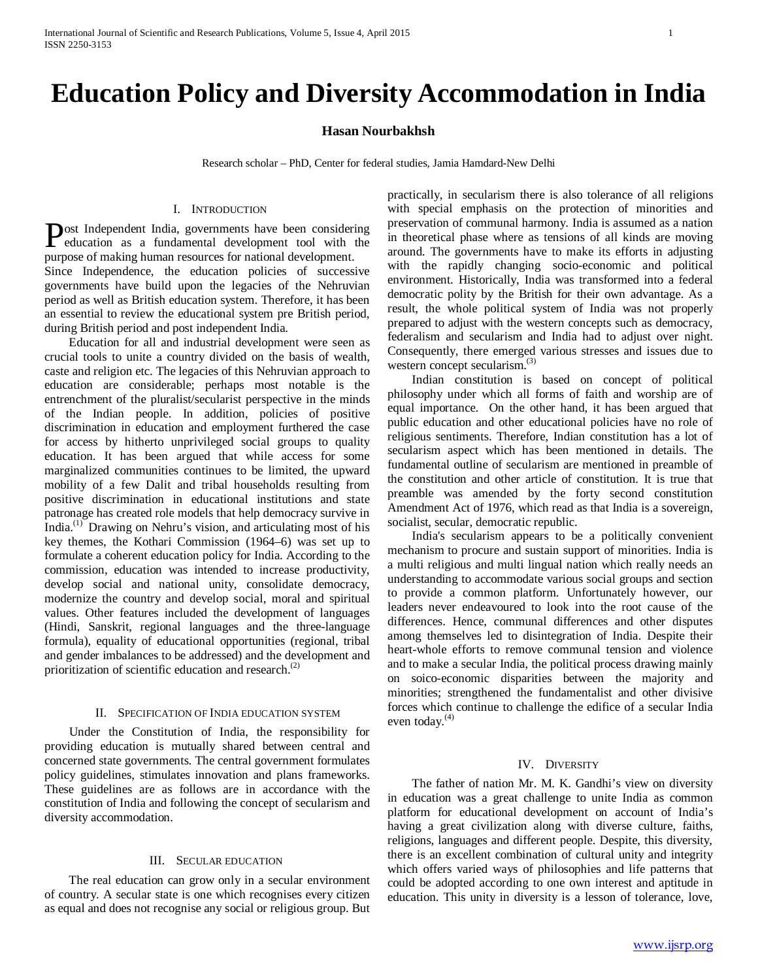# **Education Policy and Diversity Accommodation in India**

## **Hasan Nourbakhsh**

Research scholar – PhD, Center for federal studies, Jamia Hamdard-New Delhi

### I. INTRODUCTION

ost Independent India, governments have been considering **Post Independent India, governments have been considering**<br>education as a fundamental development tool with the purpose of making human resources for national development. Since Independence, the education policies of successive governments have build upon the legacies of the Nehruvian period as well as British education system. Therefore, it has been an essential to review the educational system pre British period, during British period and post independent India.

 Education for all and industrial development were seen as crucial tools to unite a country divided on the basis of wealth, caste and religion etc. The legacies of this Nehruvian approach to education are considerable; perhaps most notable is the entrenchment of the pluralist/secularist perspective in the minds of the Indian people. In addition, policies of positive discrimination in education and employment furthered the case for access by hitherto unprivileged social groups to quality education. It has been argued that while access for some marginalized communities continues to be limited, the upward mobility of a few Dalit and tribal households resulting from positive discrimination in educational institutions and state patronage has created role models that help democracy survive in India.(1) Drawing on Nehru's vision, and articulating most of his key themes, the Kothari Commission (1964–6) was set up to formulate a coherent education policy for India. According to the commission, education was intended to increase productivity, develop social and national unity, consolidate democracy, modernize the country and develop social, moral and spiritual values. Other features included the development of languages (Hindi, Sanskrit, regional languages and the three-language formula), equality of educational opportunities (regional, tribal and gender imbalances to be addressed) and the development and prioritization of scientific education and research. $(2)$ 

# II. SPECIFICATION OF INDIA EDUCATION SYSTEM

 Under the Constitution of India, the responsibility for providing education is mutually shared between central and concerned state governments. The central government formulates policy guidelines, stimulates innovation and plans frameworks. These guidelines are as follows are in accordance with the constitution of India and following the concept of secularism and diversity accommodation.

# III. SECULAR EDUCATION

 The real education can grow only in a secular environment of country. A secular state is one which recognises every citizen as equal and does not recognise any social or religious group. But practically, in secularism there is also tolerance of all religions with special emphasis on the protection of minorities and preservation of communal harmony. India is assumed as a nation in theoretical phase where as tensions of all kinds are moving around. The governments have to make its efforts in adjusting with the rapidly changing socio-economic and political environment. Historically, India was transformed into a federal democratic polity by the British for their own advantage. As a result, the whole political system of India was not properly prepared to adjust with the western concepts such as democracy, federalism and secularism and India had to adjust over night. Consequently, there emerged various stresses and issues due to western concept secularism.<sup>(3)</sup>

 Indian constitution is based on concept of political philosophy under which all forms of faith and worship are of equal importance. On the other hand, it has been argued that public education and other educational policies have no role of religious sentiments. Therefore, Indian constitution has a lot of secularism aspect which has been mentioned in details. The fundamental outline of secularism are mentioned in preamble of the constitution and other article of constitution. It is true that preamble was amended by the forty second constitution Amendment Act of 1976, which read as that India is a sovereign, socialist, secular, democratic republic.

 India's secularism appears to be a politically convenient mechanism to procure and sustain support of minorities. India is a multi religious and multi lingual nation which really needs an understanding to accommodate various social groups and section to provide a common platform. Unfortunately however, our leaders never endeavoured to look into the root cause of the differences. Hence, communal differences and other disputes among themselves led to disintegration of India. Despite their heart-whole efforts to remove communal tension and violence and to make a secular India, the political process drawing mainly on soico-economic disparities between the majority and minorities; strengthened the fundamentalist and other divisive forces which continue to challenge the edifice of a secular India even today. $(4)$ 

#### IV. DIVERSITY

 The father of nation Mr. M. K. Gandhi's view on diversity in education was a great challenge to unite India as common platform for educational development on account of India's having a great civilization along with diverse culture, faiths, religions, languages and different people. Despite, this diversity, there is an excellent combination of cultural unity and integrity which offers varied ways of philosophies and life patterns that could be adopted according to one own interest and aptitude in education. This unity in diversity is a lesson of tolerance, love,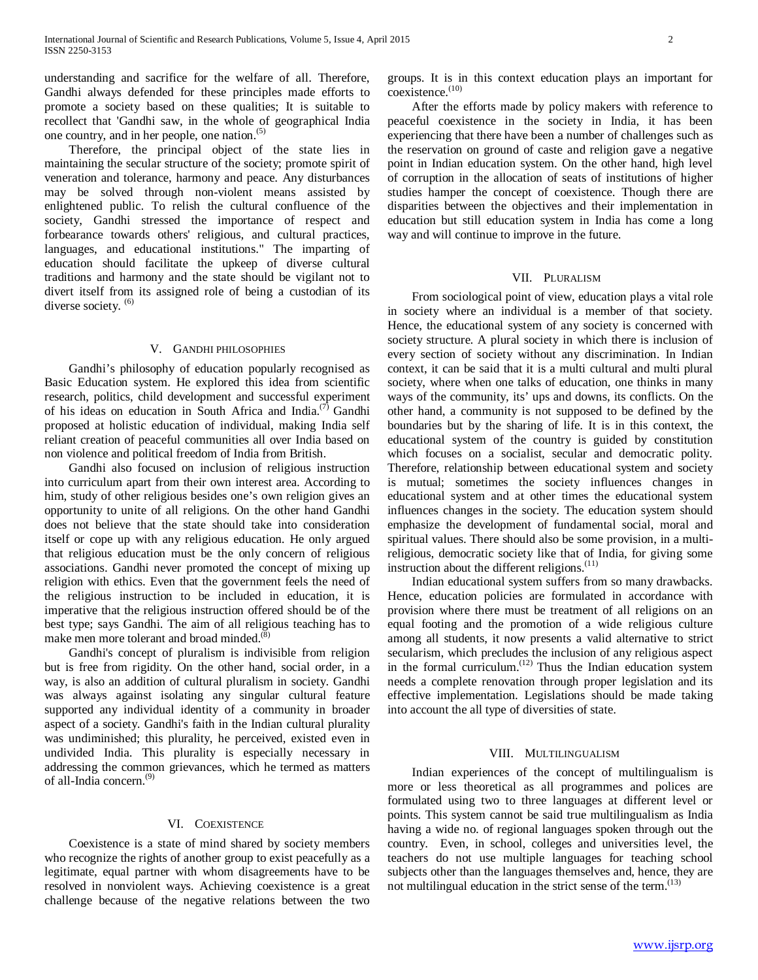understanding and sacrifice for the welfare of all. Therefore, Gandhi always defended for these principles made efforts to promote a society based on these qualities; It is suitable to recollect that 'Gandhi saw, in the whole of geographical India one country, and in her people, one nation.<sup>(5)</sup>

 Therefore, the principal object of the state lies in maintaining the secular structure of the society; promote spirit of veneration and tolerance, harmony and peace. Any disturbances may be solved through non-violent means assisted by enlightened public. To relish the cultural confluence of the society, Gandhi stressed the importance of respect and forbearance towards others' religious, and cultural practices, languages, and educational institutions." The imparting of education should facilitate the upkeep of diverse cultural traditions and harmony and the state should be vigilant not to divert itself from its assigned role of being a custodian of its diverse society. <sup>(6)</sup>

#### V. GANDHI PHILOSOPHIES

 Gandhi's philosophy of education popularly recognised as Basic Education system. He explored this idea from scientific research, politics, child development and successful experiment of his ideas on education in South Africa and India.<sup>(7)</sup> Gandhi proposed at holistic education of individual, making India self reliant creation of peaceful communities all over India based on non violence and political freedom of India from British.

 Gandhi also focused on inclusion of religious instruction into curriculum apart from their own interest area. According to him, study of other religious besides one's own religion gives an opportunity to unite of all religions. On the other hand Gandhi does not believe that the state should take into consideration itself or cope up with any religious education. He only argued that religious education must be the only concern of religious associations. Gandhi never promoted the concept of mixing up religion with ethics. Even that the government feels the need of the religious instruction to be included in education, it is imperative that the religious instruction offered should be of the best type; says Gandhi. The aim of all religious teaching has to make men more tolerant and broad minded.<sup>(8)</sup>

 Gandhi's concept of pluralism is indivisible from religion but is free from rigidity. On the other hand, social order, in a way, is also an addition of cultural pluralism in society. Gandhi was always against isolating any singular cultural feature supported any individual identity of a community in broader aspect of a society. Gandhi's faith in the Indian cultural plurality was undiminished; this plurality, he perceived, existed even in undivided India. This plurality is especially necessary in addressing the common grievances, which he termed as matters of all-India concern.<sup>(9)</sup>

## VI. COEXISTENCE

 Coexistence is a state of mind shared by society members who recognize the rights of another group to exist peacefully as a legitimate, equal partner with whom disagreements have to be resolved in nonviolent ways. Achieving coexistence is a great challenge because of the negative relations between the two

groups. It is in this context education plays an important for  $coexistence.<sup>(10)</sup>$ 

 After the efforts made by policy makers with reference to peaceful coexistence in the society in India, it has been experiencing that there have been a number of challenges such as the reservation on ground of caste and religion gave a negative point in Indian education system. On the other hand, high level of corruption in the allocation of seats of institutions of higher studies hamper the concept of coexistence. Though there are disparities between the objectives and their implementation in education but still education system in India has come a long way and will continue to improve in the future.

### VII. PLURALISM

 From sociological point of view, education plays a vital role in society where an individual is a member of that society. Hence, the educational system of any society is concerned with society structure. A plural society in which there is inclusion of every section of society without any discrimination. In Indian context, it can be said that it is a multi cultural and multi plural society, where when one talks of education, one thinks in many ways of the community, its' ups and downs, its conflicts. On the other hand, a community is not supposed to be defined by the boundaries but by the sharing of life. It is in this context, the educational system of the country is guided by constitution which focuses on a socialist, secular and democratic polity. Therefore, relationship between educational system and society is mutual; sometimes the society influences changes in educational system and at other times the educational system influences changes in the society. The education system should emphasize the development of fundamental social, moral and spiritual values. There should also be some provision, in a multireligious, democratic society like that of India, for giving some instruction about the different religions. $(11)$ 

 Indian educational system suffers from so many drawbacks. Hence, education policies are formulated in accordance with provision where there must be treatment of all religions on an equal footing and the promotion of a wide religious culture among all students, it now presents a valid alternative to strict secularism, which precludes the inclusion of any religious aspect in the formal curriculum. $(12)$  Thus the Indian education system needs a complete renovation through proper legislation and its effective implementation. Legislations should be made taking into account the all type of diversities of state.

#### VIII. MULTILINGUALISM

 Indian experiences of the concept of multilingualism is more or less theoretical as all programmes and polices are formulated using two to three languages at different level or points. This system cannot be said true multilingualism as India having a wide no. of regional languages spoken through out the country. Even, in school, colleges and universities level, the teachers do not use multiple languages for teaching school subjects other than the languages themselves and, hence, they are not multilingual education in the strict sense of the term. $(13)$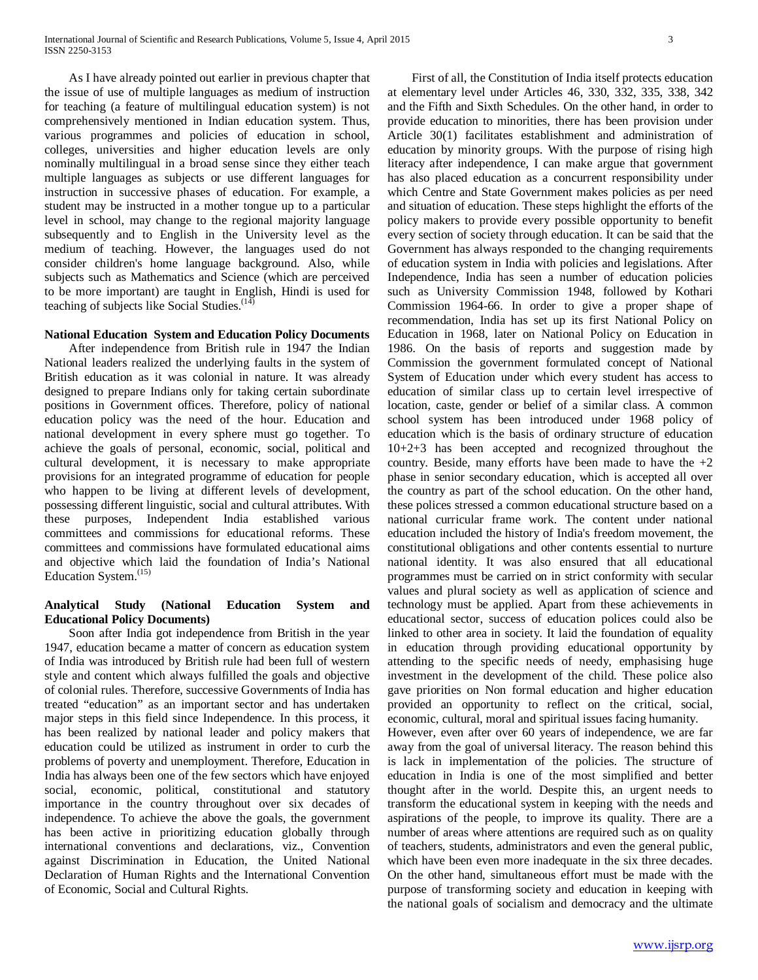As I have already pointed out earlier in previous chapter that the issue of use of multiple languages as medium of instruction for teaching (a feature of multilingual education system) is not comprehensively mentioned in Indian education system. Thus, various programmes and policies of education in school, colleges, universities and higher education levels are only nominally multilingual in a broad sense since they either teach multiple languages as subjects or use different languages for instruction in successive phases of education. For example, a student may be instructed in a mother tongue up to a particular level in school, may change to the regional majority language subsequently and to English in the University level as the medium of teaching. However, the languages used do not consider children's home language background. Also, while subjects such as Mathematics and Science (which are perceived to be more important) are taught in English, Hindi is used for teaching of subjects like Social Studies. $(14)$ 

# **National Education System and Education Policy Documents**

 After independence from British rule in 1947 the Indian National leaders realized the underlying faults in the system of British education as it was colonial in nature. It was already designed to prepare Indians only for taking certain subordinate positions in Government offices. Therefore, policy of national education policy was the need of the hour. Education and national development in every sphere must go together. To achieve the goals of personal, economic, social, political and cultural development, it is necessary to make appropriate provisions for an integrated programme of education for people who happen to be living at different levels of development, possessing different linguistic, social and cultural attributes. With these purposes, Independent India established various committees and commissions for educational reforms. These committees and commissions have formulated educational aims and objective which laid the foundation of India's National Education System.<sup>(15)</sup>

# **Analytical Study (National Education System and Educational Policy Documents)**

 Soon after India got independence from British in the year 1947, education became a matter of concern as education system of India was introduced by British rule had been full of western style and content which always fulfilled the goals and objective of colonial rules. Therefore, successive Governments of India has treated "education" as an important sector and has undertaken major steps in this field since Independence. In this process, it has been realized by national leader and policy makers that education could be utilized as instrument in order to curb the problems of poverty and unemployment. Therefore, Education in India has always been one of the few sectors which have enjoyed social, economic, political, constitutional and statutory importance in the country throughout over six decades of independence. To achieve the above the goals, the government has been active in prioritizing education globally through international conventions and declarations, viz., Convention against Discrimination in Education, the United National Declaration of Human Rights and the International Convention of Economic, Social and Cultural Rights.

 First of all, the Constitution of India itself protects education at elementary level under Articles 46, 330, 332, 335, 338, 342 and the Fifth and Sixth Schedules. On the other hand, in order to provide education to minorities, there has been provision under Article 30(1) facilitates establishment and administration of education by minority groups. With the purpose of rising high literacy after independence, I can make argue that government has also placed education as a concurrent responsibility under which Centre and State Government makes policies as per need and situation of education. These steps highlight the efforts of the policy makers to provide every possible opportunity to benefit every section of society through education. It can be said that the Government has always responded to the changing requirements of education system in India with policies and legislations. After Independence, India has seen a number of education policies such as University Commission 1948, followed by Kothari Commission 1964-66. In order to give a proper shape of recommendation, India has set up its first National Policy on Education in 1968, later on National Policy on Education in 1986. On the basis of reports and suggestion made by Commission the government formulated concept of National System of Education under which every student has access to education of similar class up to certain level irrespective of location, caste, gender or belief of a similar class. A common school system has been introduced under 1968 policy of education which is the basis of ordinary structure of education 10+2+3 has been accepted and recognized throughout the country. Beside, many efforts have been made to have the  $+2$ phase in senior secondary education, which is accepted all over the country as part of the school education. On the other hand, these polices stressed a common educational structure based on a national curricular frame work. The content under national education included the history of India's freedom movement, the constitutional obligations and other contents essential to nurture national identity. It was also ensured that all educational programmes must be carried on in strict conformity with secular values and plural society as well as application of science and technology must be applied. Apart from these achievements in educational sector, success of education polices could also be linked to other area in society. It laid the foundation of equality in education through providing educational opportunity by attending to the specific needs of needy, emphasising huge investment in the development of the child. These police also gave priorities on Non formal education and higher education provided an opportunity to reflect on the critical, social, economic, cultural, moral and spiritual issues facing humanity.

However, even after over 60 years of independence, we are far away from the goal of universal literacy. The reason behind this is lack in implementation of the policies. The structure of education in India is one of the most simplified and better thought after in the world. Despite this, an urgent needs to transform the educational system in keeping with the needs and aspirations of the people, to improve its quality. There are a number of areas where attentions are required such as on quality of teachers, students, administrators and even the general public, which have been even more inadequate in the six three decades. On the other hand, simultaneous effort must be made with the purpose of transforming society and education in keeping with the national goals of socialism and democracy and the ultimate